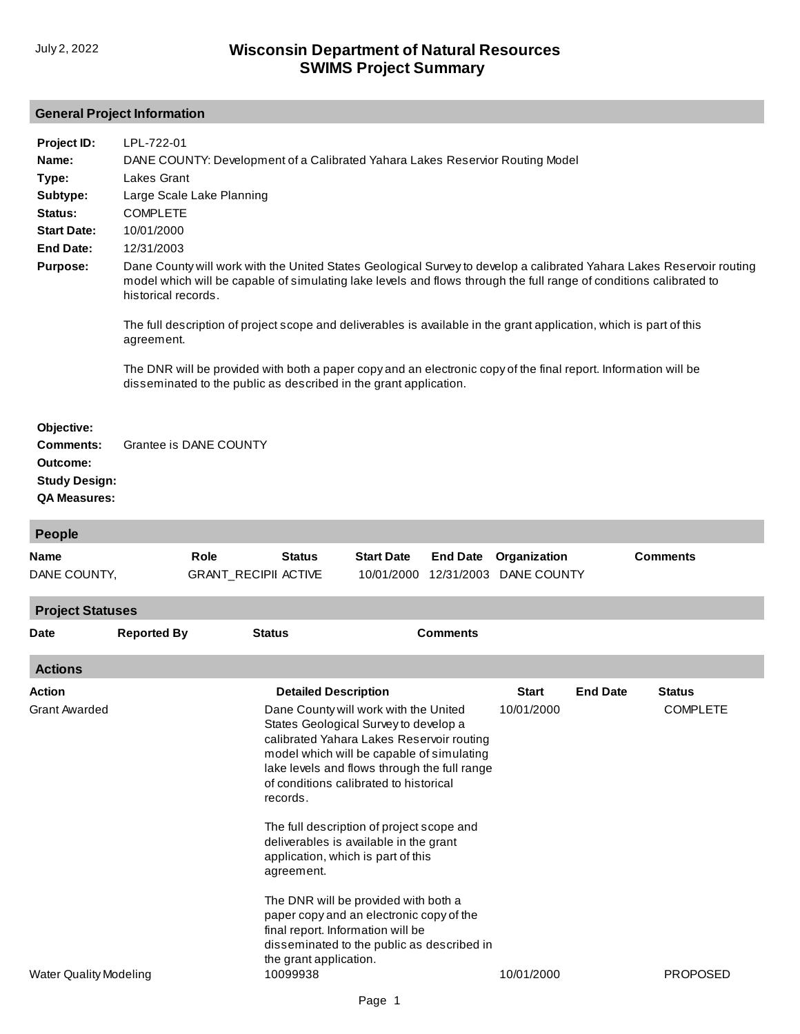## **General Project Information**

| Project ID:<br>Name:<br>Type:<br>Subtype:<br>Status:<br><b>Start Date:</b><br><b>End Date:</b><br><b>Purpose:</b> | LPL-722-01<br>DANE COUNTY: Development of a Calibrated Yahara Lakes Reservior Routing Model<br>Lakes Grant<br>Large Scale Lake Planning<br><b>COMPLETE</b><br>10/01/2000<br>12/31/2003<br>Dane County will work with the United States Geological Survey to develop a calibrated Yahara Lakes Reservoir routing<br>model which will be capable of simulating lake levels and flows through the full range of conditions calibrated to<br>historical records.<br>The full description of project scope and deliverables is available in the grant application, which is part of this<br>agreement.<br>The DNR will be provided with both a paper copy and an electronic copy of the final report. Information will be<br>disseminated to the public as described in the grant application. |                                              |                   |                 |                                                   |                 |                                  |  |  |  |  |
|-------------------------------------------------------------------------------------------------------------------|-------------------------------------------------------------------------------------------------------------------------------------------------------------------------------------------------------------------------------------------------------------------------------------------------------------------------------------------------------------------------------------------------------------------------------------------------------------------------------------------------------------------------------------------------------------------------------------------------------------------------------------------------------------------------------------------------------------------------------------------------------------------------------------------|----------------------------------------------|-------------------|-----------------|---------------------------------------------------|-----------------|----------------------------------|--|--|--|--|
| Objective:<br>Comments:<br>Outcome:<br><b>Study Design:</b><br><b>QA Measures:</b>                                | Grantee is DANE COUNTY                                                                                                                                                                                                                                                                                                                                                                                                                                                                                                                                                                                                                                                                                                                                                                    |                                              |                   |                 |                                                   |                 |                                  |  |  |  |  |
| <b>People</b>                                                                                                     |                                                                                                                                                                                                                                                                                                                                                                                                                                                                                                                                                                                                                                                                                                                                                                                           |                                              |                   |                 |                                                   |                 |                                  |  |  |  |  |
| Name<br>DANE COUNTY,<br><b>Project Statuses</b>                                                                   | <b>Role</b>                                                                                                                                                                                                                                                                                                                                                                                                                                                                                                                                                                                                                                                                                                                                                                               | <b>Status</b><br><b>GRANT_RECIPII ACTIVE</b> | <b>Start Date</b> | <b>End Date</b> | Organization<br>10/01/2000 12/31/2003 DANE COUNTY |                 | <b>Comments</b>                  |  |  |  |  |
| Date                                                                                                              | <b>Reported By</b>                                                                                                                                                                                                                                                                                                                                                                                                                                                                                                                                                                                                                                                                                                                                                                        | <b>Status</b>                                |                   | <b>Comments</b> |                                                   |                 |                                  |  |  |  |  |
| <b>Actions</b>                                                                                                    |                                                                                                                                                                                                                                                                                                                                                                                                                                                                                                                                                                                                                                                                                                                                                                                           |                                              |                   |                 |                                                   |                 |                                  |  |  |  |  |
| Action<br>Grant Awarded                                                                                           | <b>Detailed Description</b><br>Dane County will work with the United<br>States Geological Survey to develop a<br>calibrated Yahara Lakes Reservoir routing<br>model which will be capable of simulating<br>lake levels and flows through the full range<br>of conditions calibrated to historical<br>records.<br>The full description of project scope and<br>deliverables is available in the grant<br>application, which is part of this<br>agreement.<br>The DNR will be provided with both a<br>paper copy and an electronic copy of the<br>final report. Information will be<br>disseminated to the public as described in<br>the grant application.                                                                                                                                 |                                              |                   |                 | <b>Start</b><br>10/01/2000                        | <b>End Date</b> | <b>Status</b><br><b>COMPLETE</b> |  |  |  |  |
| <b>Water Quality Modeling</b>                                                                                     |                                                                                                                                                                                                                                                                                                                                                                                                                                                                                                                                                                                                                                                                                                                                                                                           | 10099938                                     |                   |                 | 10/01/2000                                        |                 | <b>PROPOSED</b>                  |  |  |  |  |